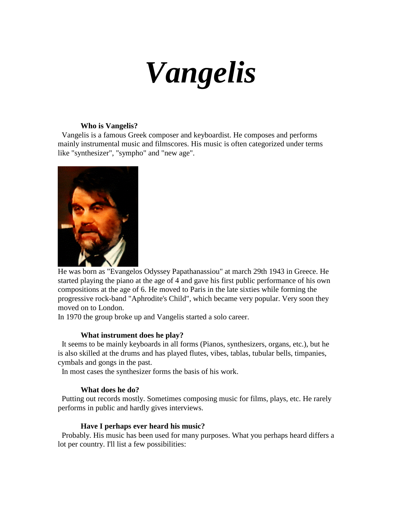# *Vangelis*

# **Who is Vangelis?**

 Vangelis is a famous Greek composer and keyboardist. He composes and performs mainly instrumental music and filmscores. His music is often categorized under terms like "synthesizer", "sympho" and "new age".



He was born as "Evangelos Odyssey Papathanassiou" at march 29th 1943 in Greece. He started playing the piano at the age of 4 and gave his first public performance of his own compositions at the age of 6. He moved to Paris in the late sixties while forming the progressive rock-band "Aphrodite's Child", which became very popular. Very soon they moved on to London.

In 1970 the group broke up and Vangelis started a solo career.

## **What instrument does he play?**

 It seems to be mainly keyboards in all forms (Pianos, synthesizers, organs, etc.), but he is also skilled at the drums and has played flutes, vibes, tablas, tubular bells, timpanies, cymbals and gongs in the past.

In most cases the synthesizer forms the basis of his work.

## **What does he do?**

 Putting out records mostly. Sometimes composing music for films, plays, etc. He rarely performs in public and hardly gives interviews.

## **Have I perhaps ever heard his music?**

 Probably. His music has been used for many purposes. What you perhaps heard differs a lot per country. I'll list a few possibilities: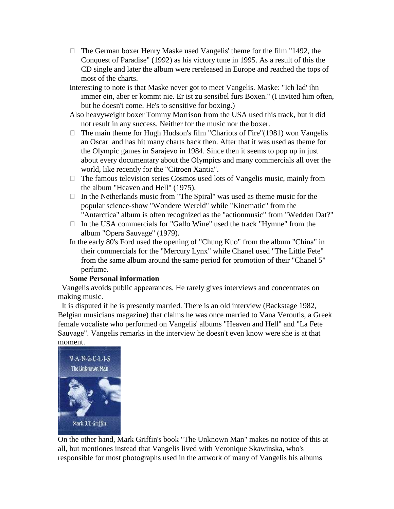The German boxer Henry Maske used Vangelis' theme for the film "1492, the Conquest of Paradise" (1992) as his victory tune in 1995. As a result of this the CD single and later the album were rereleased in Europe and reached the tops of most of the charts.

Interesting to note is that Maske never got to meet Vangelis. Maske: "Ich lad' ihn immer ein, aber er kommt nie. Er ist zu sensibel furs Boxen." (I invited him often, but he doesn't come. He's to sensitive for boxing.)

Also heavyweight boxer Tommy Morrison from the USA used this track, but it did not result in any success. Neither for the music nor the boxer.

 The main theme for Hugh Hudson's film "Chariots of Fire"(1981) won Vangelis an Oscar and has hit many charts back then. After that it was used as theme for the Olympic games in Sarajevo in 1984. Since then it seems to pop up in just about every documentary about the Olympics and many commercials all over the world, like recently for the "Citroen Xantia".

 The famous television series Cosmos used lots of Vangelis music, mainly from the album "Heaven and Hell" (1975).

 In the Netherlands music from "The Spiral" was used as theme music for the popular science-show "Wondere Wereld" while "Kinematic" from the "Antarctica" album is often recognized as the "actionmusic" from "Wedden Dat?" In the USA commercials for "Gallo Wine" used the track "Hymne" from the album "Opera Sauvage" (1979).

In the early 80's Ford used the opening of "Chung Kuo" from the album "China" in their commercials for the "Mercury Lynx" while Chanel used "The Little Fete" from the same album around the same period for promotion of their "Chanel 5" perfume.

## **Some Personal information**

 Vangelis avoids public appearances. He rarely gives interviews and concentrates on making music.

 It is disputed if he is presently married. There is an old interview (Backstage 1982, Belgian musicians magazine) that claims he was once married to Vana Veroutis, a Greek female vocaliste who performed on Vangelis' albums "Heaven and Hell" and "La Fete Sauvage". Vangelis remarks in the interview he doesn't even know were she is at that moment.



On the other hand, Mark Griffin's book "The Unknown Man" makes no notice of this at all, but mentiones instead that Vangelis lived with Veronique Skawinska, who's responsible for most photographs used in the artwork of many of Vangelis his albums